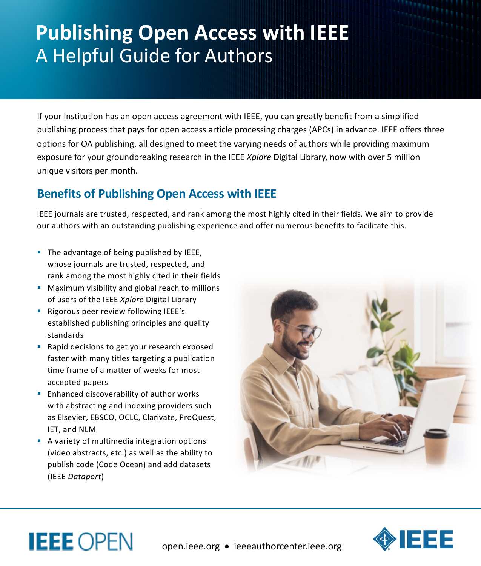# **Publishing Open Access with IEEE** A Helpful Guide for Authors

If your institution has an open access agreement with IEEE, you can greatly benefit from a simplified publishing process that pays for open access article processing charges (APCs) in advance. IEEE offers three options for OA publishing, all designed to meet the varying needs of authors while providing maximum exposure for your groundbreaking research in the IEEE *Xplore* Digital Library, now with over 5 million unique visitors per month.

## **Benefits of Publishing Open Access with IEEE**

IEEE journals are trusted, respected, and rank among the most highly cited in their fields. We aim to provide our authors with an outstanding publishing experience and offer numerous benefits to facilitate this.

- The advantage of being published by IEEE, whose journals are trusted, respected, and rank among the most highly cited in their fields
- Maximum visibility and global reach to millions of users of the IEEE *Xplore* Digital Library
- Rigorous peer review following IEEE's established publishing principles and quality standards
- Rapid decisions to get your research exposed faster with many titles targeting a publication time frame of a matter of weeks for most accepted papers
- Enhanced discoverability of author works with abstracting and indexing providers such as Elsevier, EBSCO, OCLC, Clarivate, ProQuest, IET, and NLM
- A variety of multimedia integration options (video abstracts, etc.) as well as the ability to publish code (Code Ocean) and add datasets (IEEE *Dataport*)

**IEEE OPEN**